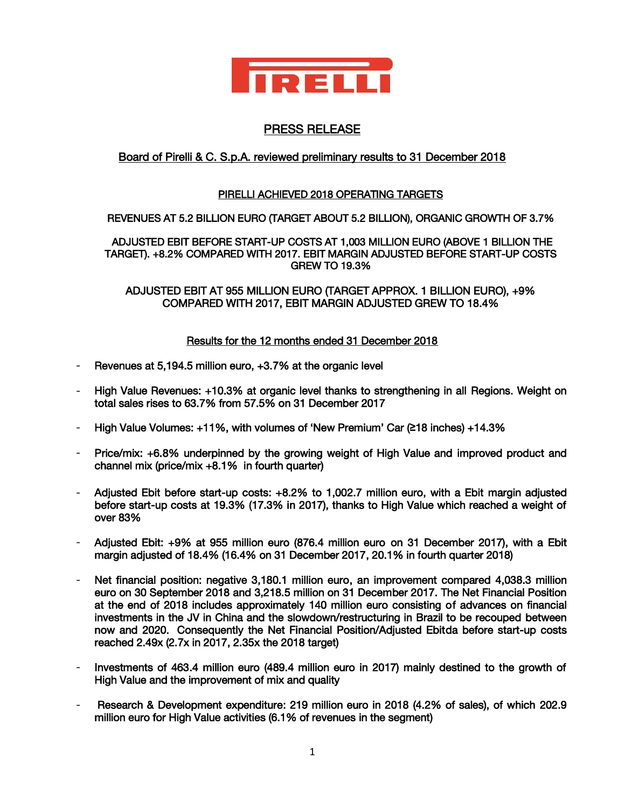

# PRESS RELEASE

# Board of Pirelli & C. S.p.A. reviewed preliminary results to 31 December 2018

## PIRELLI ACHIEVED 2018 OPERATING TARGETS

### REVENUES AT 5.2 BILLION EURO (TARGET ABOUT 5.2 BILLION), ORGANIC GROWTH OF 3.7%

 ADJUSTED EBIT BEFORE START-UP COSTS AT 1,003 MILLION EURO (ABOVE 1 BILLION THE TARGET). +8.2% COMPARED WITH 2017. EBIT MARGIN ADJUSTED BEFORE START-UP COSTS GREW TO 19.3%

ADJUSTED EBIT AT 955 MILLION EURO (TARGET APPROX. 1 BILLION EURO), +9% COMPARED WITH 2017, EBIT MARGIN ADJUSTED GREW TO 18.4%

### Results for the 12 months ended 31 December 2018

- Revenues at 5,194.5 million euro, +3.7% at the organic level
- High Value Revenues: +10.3% at organic level thanks to strengthening in all Regions. Weight on total sales rises to 63.7% from 57.5% on 31 December 2017
- High Value Volumes: +11%, with volumes of 'New Premium' Car (**≥**18 inches) +14.3%
- Price/mix: +6.8% underpinned by the growing weight of High Value and improved product and channel mix (price/mix +8.1% in fourth quarter)
- Adjusted Ebit before start-up costs: +8.2% to 1,002.7 million euro, with a Ebit margin adjusted before start-up costs at 19.3% (17.3% in 2017), thanks to High Value which reached a weight of over 83%
- Adjusted Ebit: +9% at 955 million euro (876.4 million euro on 31 December 2017), with a Ebit margin adjusted of 18.4% (16.4% on 31 December 2017, 20.1% in fourth quarter 2018)
- Net financial position: negative 3,180.1 million euro, an improvement compared 4,038.3 million euro on 30 September 2018 and 3,218.5 million on 31 December 2017. The Net Financial Position at the end of 2018 includes approximately 140 million euro consisting of advances on financial investments in the JV in China and the slowdown/restructuring in Brazil to be recouped between now and 2020. Consequently the Net Financial Position/Adjusted Ebitda before start-up costs reached 2.49x (2.7x in 2017, 2.35x the 2018 target)
- Investments of 463.4 million euro (489.4 million euro in 2017) mainly destined to the growth of High Value and the improvement of mix and quality
- Research & Development expenditure: 219 million euro in 2018 (4.2% of sales), of which 202.9 million euro for High Value activities (6.1% of revenues in the segment)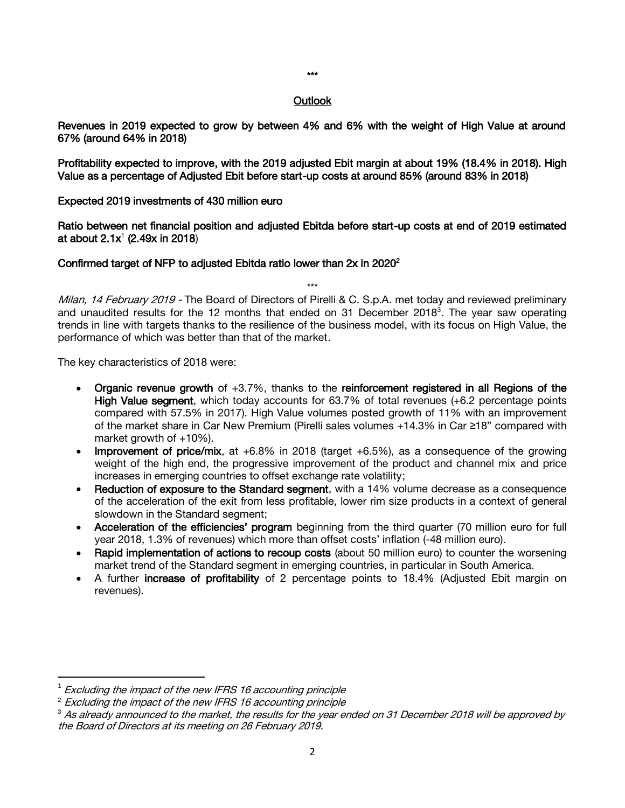#### \*\*\*

#### **Outlook**

Revenues in 2019 expected to grow by between 4% and 6% with the weight of High Value at around 67% (around 64% in 2018)

Profitability expected to improve, with the 2019 adjusted Ebit margin at about 19% (18.4% in 2018). High Value as a percentage of Adjusted Ebit before start-up costs at around 85% (around 83% in 2018)

#### Expected 2019 investments of 430 million euro

Ratio between net financial position and adjusted Ebitda before start-up costs at end of 2019 estimated at about  $2.1x^1$  (2.49x in 2018)

### Confirmed target of NFP to adjusted Ebitda ratio lower than  $2x$  in 2020<sup>2</sup>

Milan, 14 February 2019 - The Board of Directors of Pirelli & C. S.p.A. met today and reviewed preliminary and unaudited results for the 12 months that ended on 31 December 2018<sup>3</sup>. The year saw operating trends in line with targets thanks to the resilience of the business model, with its focus on High Value, the performance of which was better than that of the market.

\*\*\*

The key characteristics of 2018 were:

- Organic revenue growth of  $+3.7\%$ , thanks to the reinforcement registered in all Regions of the High Value segment, which today accounts for 63.7% of total revenues (+6.2 percentage points compared with 57.5% in 2017). High Value volumes posted growth of 11% with an improvement of the market share in Car New Premium (Pirelli sales volumes +14.3% in Car ≥18" compared with market growth of +10%).
- Improvement of price/mix, at +6.8% in 2018 (target +6.5%), as a consequence of the growing weight of the high end, the progressive improvement of the product and channel mix and price increases in emerging countries to offset exchange rate volatility;
- Reduction of exposure to the Standard segment, with a 14% volume decrease as a consequence of the acceleration of the exit from less profitable, lower rim size products in a context of general slowdown in the Standard segment;
- Acceleration of the efficiencies' program beginning from the third quarter (70 million euro for full year 2018, 1.3% of revenues) which more than offset costs' inflation (-48 million euro).
- Rapid implementation of actions to recoup costs (about 50 million euro) to counter the worsening market trend of the Standard segment in emerging countries, in particular in South America.
- A further increase of profitability of 2 percentage points to 18.4% (Adjusted Ebit margin on revenues).

 $\overline{\phantom{a}}$ 

<sup>1</sup> Excluding the impact of the new IFRS 16 accounting principle

 $2$  Excluding the impact of the new IFRS 16 accounting principle

 $^3$  As already announced to the market, the results for the year ended on 31 December 2018 will be approved by the Board of Directors at its meeting on 26 February 2019.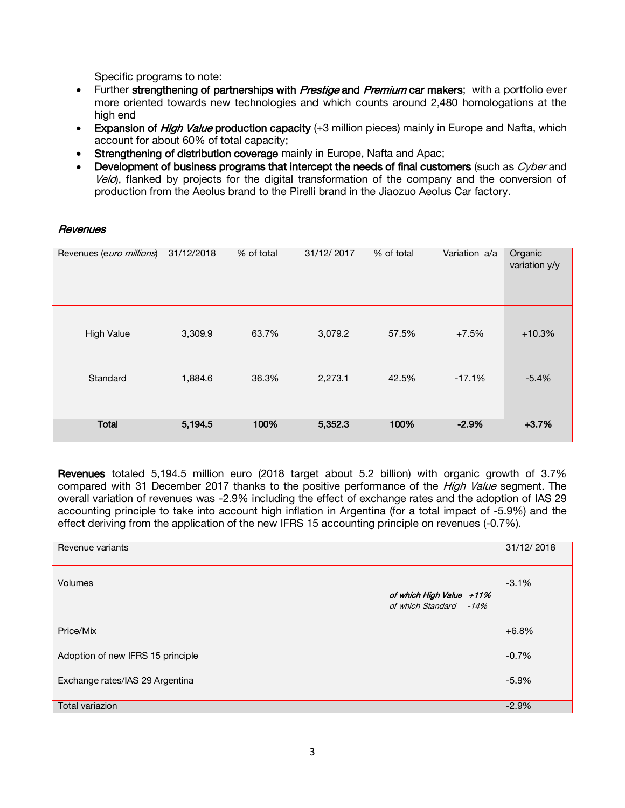Specific programs to note:

- Further strengthening of partnerships with *Prestige* and *Premium* car makers; with a portfolio ever more oriented towards new technologies and which counts around 2,480 homologations at the high end
- Expansion of *High Value* production capacity (+3 million pieces) mainly in Europe and Nafta, which account for about 60% of total capacity;
- Strengthening of distribution coverage mainly in Europe, Nafta and Apac;
- Development of business programs that intercept the needs of final customers (such as *Cyber* and  $Ve$ o), flanked by projects for the digital transformation of the company and the conversion of production from the Aeolus brand to the Pirelli brand in the Jiaozuo Aeolus Car factory.

### **Revenues**

| Revenues (euro millions) | 31/12/2018 | % of total | 31/12/2017 | % of total | Variation a/a | Organic<br>variation y/y |
|--------------------------|------------|------------|------------|------------|---------------|--------------------------|
| <b>High Value</b>        | 3,309.9    | 63.7%      | 3,079.2    | 57.5%      | $+7.5%$       | $+10.3%$                 |
| Standard                 | 1,884.6    | 36.3%      | 2,273.1    | 42.5%      | $-17.1%$      | $-5.4%$                  |
| <b>Total</b>             | 5,194.5    | 100%       | 5,352.3    | 100%       | $-2.9%$       | $+3.7%$                  |

Revenues totaled 5,194.5 million euro (2018 target about 5.2 billion) with organic growth of 3.7% compared with 31 December 2017 thanks to the positive performance of the High Value segment. The overall variation of revenues was -2.9% including the effect of exchange rates and the adoption of IAS 29 accounting principle to take into account high inflation in Argentina (for a total impact of -5.9%) and the effect deriving from the application of the new IFRS 15 accounting principle on revenues (-0.7%).

| Revenue variants                  |                                                    | 31/12/2018 |
|-----------------------------------|----------------------------------------------------|------------|
| <b>Volumes</b>                    | of which High Value +11%<br>of which Standard -14% | $-3.1%$    |
| Price/Mix                         |                                                    | $+6.8%$    |
| Adoption of new IFRS 15 principle |                                                    | $-0.7%$    |
| Exchange rates/IAS 29 Argentina   |                                                    | $-5.9%$    |
| Total variazion                   |                                                    | $-2.9%$    |
|                                   |                                                    |            |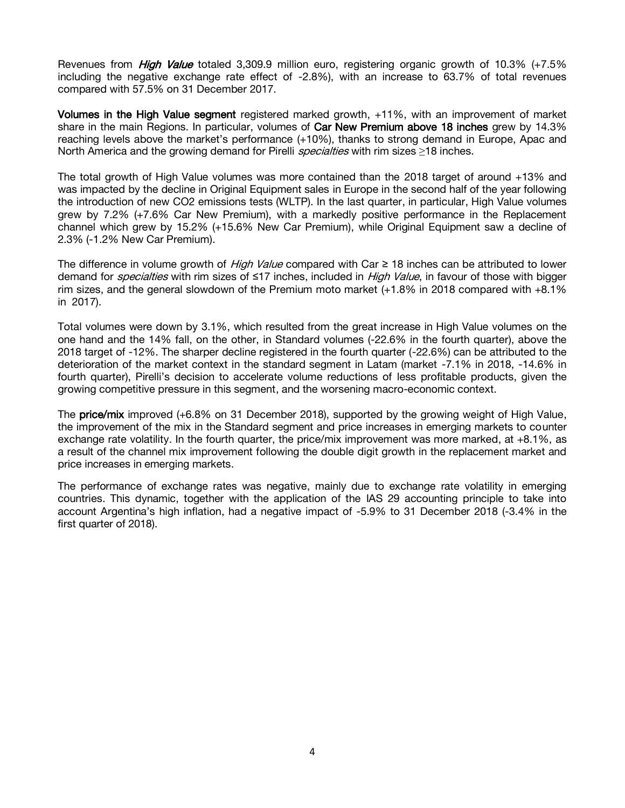Revenues from *High Value* totaled 3,309.9 million euro, registering organic growth of 10.3% (+7.5% including the negative exchange rate effect of -2.8%), with an increase to 63.7% of total revenues compared with 57.5% on 31 December 2017.

Volumes in the High Value segment registered marked growth, +11%, with an improvement of market share in the main Regions. In particular, volumes of Car New Premium above 18 inches grew by 14.3% reaching levels above the market's performance (+10%), thanks to strong demand in Europe, Apac and North America and the growing demand for Pirelli *specialties* with rim sizes ≥18 inches.

The total growth of High Value volumes was more contained than the 2018 target of around +13% and was impacted by the decline in Original Equipment sales in Europe in the second half of the year following the introduction of new CO2 emissions tests (WLTP). In the last quarter, in particular, High Value volumes grew by 7.2% (+7.6% Car New Premium), with a markedly positive performance in the Replacement channel which grew by 15.2% (+15.6% New Car Premium), while Original Equipment saw a decline of 2.3% (-1.2% New Car Premium).

The difference in volume growth of High Value compared with Car  $\geq$  18 inches can be attributed to lower demand for *specialties* with rim sizes of ≤17 inches, included in *High Value*, in favour of those with bigger rim sizes, and the general slowdown of the Premium moto market (+1.8% in 2018 compared with +8.1% in 2017).

Total volumes were down by 3.1%, which resulted from the great increase in High Value volumes on the one hand and the 14% fall, on the other, in Standard volumes (-22.6% in the fourth quarter), above the 2018 target of -12%. The sharper decline registered in the fourth quarter (-22.6%) can be attributed to the deterioration of the market context in the standard segment in Latam (market -7.1% in 2018, -14.6% in fourth quarter), Pirelli's decision to accelerate volume reductions of less profitable products, given the growing competitive pressure in this segment, and the worsening macro-economic context.

The **price/mix** improved (+6.8% on 31 December 2018), supported by the growing weight of High Value, the improvement of the mix in the Standard segment and price increases in emerging markets to counter exchange rate volatility. In the fourth quarter, the price/mix improvement was more marked, at  $+8.1\%$ , as a result of the channel mix improvement following the double digit growth in the replacement market and price increases in emerging markets.

The performance of exchange rates was negative, mainly due to exchange rate volatility in emerging countries. This dynamic, together with the application of the IAS 29 accounting principle to take into account Argentina's high inflation, had a negative impact of -5.9% to 31 December 2018 (-3.4% in the first quarter of 2018).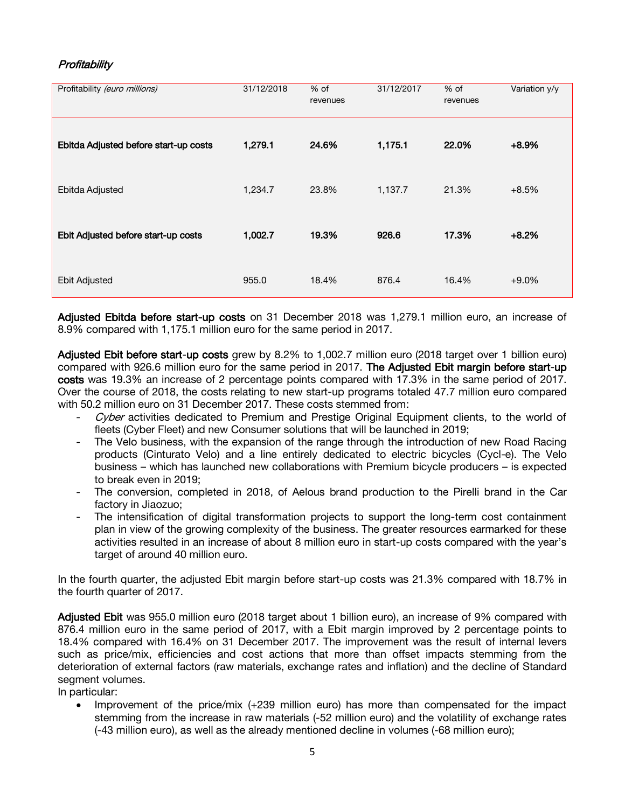# Profitability

| Profitability (euro millions)         | 31/12/2018 | $%$ of<br>revenues | 31/12/2017 | % of<br>revenues | Variation y/y |
|---------------------------------------|------------|--------------------|------------|------------------|---------------|
| Ebitda Adjusted before start-up costs | 1,279.1    | 24.6%              | 1,175.1    | 22.0%            | $+8.9%$       |
| Ebitda Adjusted                       | 1,234.7    | 23.8%              | 1,137.7    | 21.3%            | $+8.5%$       |
| Ebit Adjusted before start-up costs   | 1,002.7    | 19.3%              | 926.6      | 17.3%            | $+8.2%$       |
| <b>Ebit Adjusted</b>                  | 955.0      | 18.4%              | 876.4      | 16.4%            | $+9.0%$       |

Adjusted Ebitda before start-up costs on 31 December 2018 was 1,279.1 million euro, an increase of 8.9% compared with 1,175.1 million euro for the same period in 2017.

Adjusted Ebit before start-up costs grew by 8.2% to 1,002.7 million euro (2018 target over 1 billion euro) compared with 926.6 million euro for the same period in 2017. The Adjusted Ebit margin before start-up costs was 19.3% an increase of 2 percentage points compared with 17.3% in the same period of 2017. Over the course of 2018, the costs relating to new start-up programs totaled 47.7 million euro compared with 50.2 million euro on 31 December 2017. These costs stemmed from:

- Cyber activities dedicated to Premium and Prestige Original Equipment clients, to the world of fleets (Cyber Fleet) and new Consumer solutions that will be launched in 2019;
- The Velo business, with the expansion of the range through the introduction of new Road Racing products (Cinturato Velo) and a line entirely dedicated to electric bicycles (Cycl-e). The Velo business – which has launched new collaborations with Premium bicycle producers – is expected to break even in 2019;
- The conversion, completed in 2018, of Aelous brand production to the Pirelli brand in the Car factory in Jiaozuo;
- The intensification of digital transformation projects to support the long-term cost containment plan in view of the growing complexity of the business. The greater resources earmarked for these activities resulted in an increase of about 8 million euro in start-up costs compared with the year's target of around 40 million euro.

In the fourth quarter, the adjusted Ebit margin before start-up costs was 21.3% compared with 18.7% in the fourth quarter of 2017.

Adjusted Ebit was 955.0 million euro (2018 target about 1 billion euro), an increase of 9% compared with 876.4 million euro in the same period of 2017, with a Ebit margin improved by 2 percentage points to 18.4% compared with 16.4% on 31 December 2017. The improvement was the result of internal levers such as price/mix, efficiencies and cost actions that more than offset impacts stemming from the deterioration of external factors (raw materials, exchange rates and inflation) and the decline of Standard segment volumes.

In particular:

 Improvement of the price/mix (+239 million euro) has more than compensated for the impact stemming from the increase in raw materials (-52 million euro) and the volatility of exchange rates (-43 million euro), as well as the already mentioned decline in volumes (-68 million euro);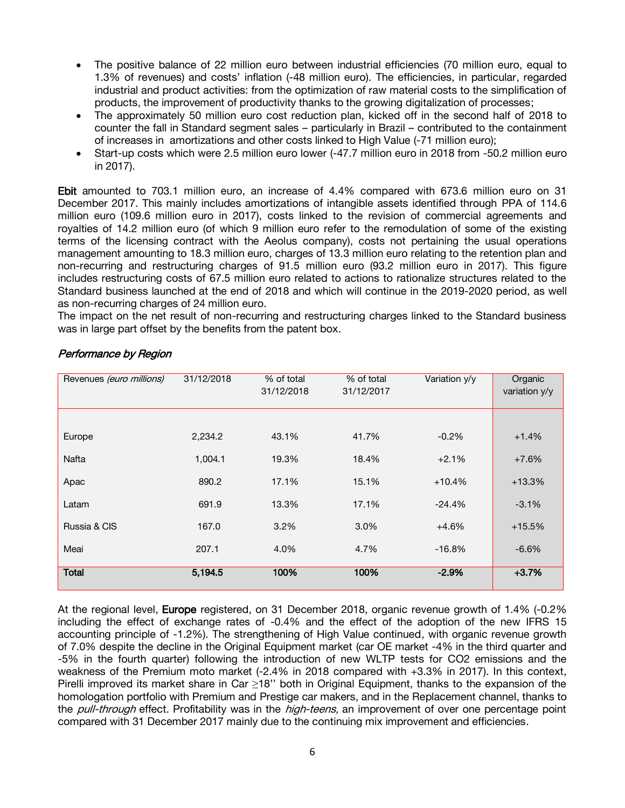- The positive balance of 22 million euro between industrial efficiencies (70 million euro, equal to 1.3% of revenues) and costs' inflation (-48 million euro). The efficiencies, in particular, regarded industrial and product activities: from the optimization of raw material costs to the simplification of products, the improvement of productivity thanks to the growing digitalization of processes;
- The approximately 50 million euro cost reduction plan, kicked off in the second half of 2018 to counter the fall in Standard segment sales – particularly in Brazil – contributed to the containment of increases in amortizations and other costs linked to High Value (-71 million euro);
- Start-up costs which were 2.5 million euro lower (-47.7 million euro in 2018 from -50.2 million euro in 2017).

Ebit amounted to 703.1 million euro, an increase of 4.4% compared with 673.6 million euro on 31 December 2017. This mainly includes amortizations of intangible assets identified through PPA of 114.6 million euro (109.6 million euro in 2017), costs linked to the revision of commercial agreements and royalties of 14.2 million euro (of which 9 million euro refer to the remodulation of some of the existing terms of the licensing contract with the Aeolus company), costs not pertaining the usual operations management amounting to 18.3 million euro, charges of 13.3 million euro relating to the retention plan and non-recurring and restructuring charges of 91.5 million euro (93.2 million euro in 2017). This figure includes restructuring costs of 67.5 million euro related to actions to rationalize structures related to the Standard business launched at the end of 2018 and which will continue in the 2019-2020 period, as well as non-recurring charges of 24 million euro.

The impact on the net result of non-recurring and restructuring charges linked to the Standard business was in large part offset by the benefits from the patent box.

| Revenues (euro millions) | 31/12/2018 | % of total<br>31/12/2018 | % of total<br>31/12/2017 | Variation y/y | Organic<br>variation y/y |
|--------------------------|------------|--------------------------|--------------------------|---------------|--------------------------|
|                          |            |                          |                          |               |                          |
| Europe                   | 2,234.2    | 43.1%                    | 41.7%                    | $-0.2\%$      | $+1.4%$                  |
| Nafta                    | 1,004.1    | 19.3%                    | 18.4%                    | $+2.1%$       | $+7.6%$                  |
| Apac                     | 890.2      | 17.1%                    | 15.1%                    | $+10.4%$      | $+13.3%$                 |
| Latam                    | 691.9      | 13.3%                    | 17.1%                    | $-24.4%$      | $-3.1%$                  |
| Russia & CIS             | 167.0      | 3.2%                     | 3.0%                     | $+4.6%$       | $+15.5%$                 |
| Meai                     | 207.1      | 4.0%                     | 4.7%                     | $-16.8%$      | $-6.6%$                  |
| <b>Total</b>             | 5,194.5    | 100%                     | 100%                     | $-2.9%$       | $+3.7%$                  |

# Performance by Region

At the regional level, Europe registered, on 31 December 2018, organic revenue growth of 1.4% (-0.2%) including the effect of exchange rates of -0.4% and the effect of the adoption of the new IFRS 15 accounting principle of -1.2%). The strengthening of High Value continued, with organic revenue growth of 7.0% despite the decline in the Original Equipment market (car OE market -4% in the third quarter and -5% in the fourth quarter) following the introduction of new WLTP tests for CO2 emissions and the weakness of the Premium moto market (-2.4% in 2018 compared with +3.3% in 2017). In this context, Pirelli improved its market share in Car ≥18'' both in Original Equipment, thanks to the expansion of the homologation portfolio with Premium and Prestige car makers, and in the Replacement channel, thanks to the *pull-through* effect. Profitability was in the *high-teens*, an improvement of over one percentage point compared with 31 December 2017 mainly due to the continuing mix improvement and efficiencies.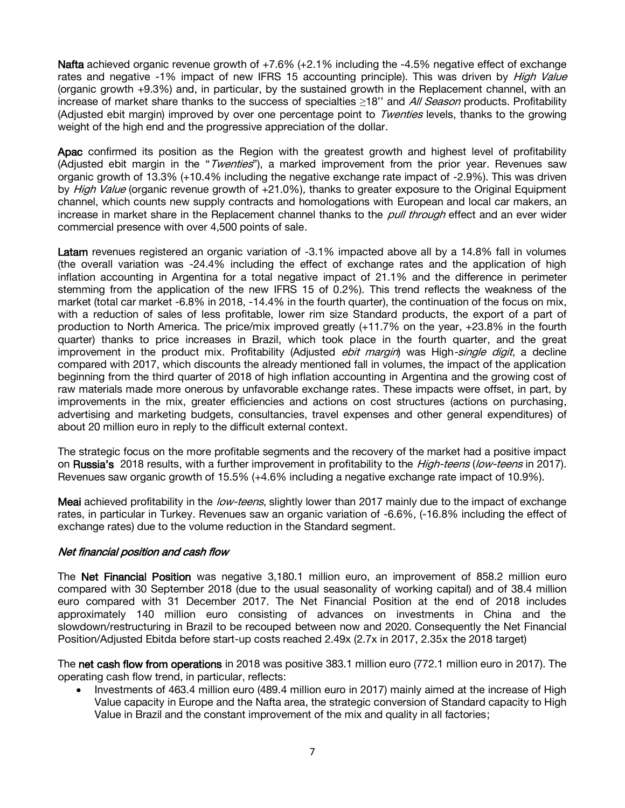**Nafta** achieved organic revenue growth of  $+7.6\%$  ( $+2.1\%$  including the  $-4.5\%$  negative effect of exchange rates and negative -1% impact of new IFRS 15 accounting principle). This was driven by *High Value* (organic growth +9.3%) and, in particular, by the sustained growth in the Replacement channel, with an increase of market share thanks to the success of specialties ≥18'' and All Season products. Profitability (Adjusted ebit margin) improved by over one percentage point to Twenties levels, thanks to the growing weight of the high end and the progressive appreciation of the dollar.

Apac confirmed its position as the Region with the greatest growth and highest level of profitability (Adjusted ebit margin in the "*Twenties*"), a marked improvement from the prior year. Revenues saw organic growth of 13.3% (+10.4% including the negative exchange rate impact of -2.9%). This was driven by High Value (organic revenue growth of +21.0%), thanks to greater exposure to the Original Equipment channel, which counts new supply contracts and homologations with European and local car makers, an increase in market share in the Replacement channel thanks to the pull through effect and an ever wider commercial presence with over 4,500 points of sale.

Latam revenues registered an organic variation of -3.1% impacted above all by a 14.8% fall in volumes (the overall variation was -24.4% including the effect of exchange rates and the application of high inflation accounting in Argentina for a total negative impact of 21.1% and the difference in perimeter stemming from the application of the new IFRS 15 of 0.2%). This trend reflects the weakness of the market (total car market -6.8% in 2018, -14.4% in the fourth quarter), the continuation of the focus on mix, with a reduction of sales of less profitable, lower rim size Standard products, the export of a part of production to North America. The price/mix improved greatly (+11.7% on the year, +23.8% in the fourth quarter) thanks to price increases in Brazil, which took place in the fourth quarter, and the great improvement in the product mix. Profitability (Adjusted *ebit margin*) was High-single digit, a decline compared with 2017, which discounts the already mentioned fall in volumes, the impact of the application beginning from the third quarter of 2018 of high inflation accounting in Argentina and the growing cost of raw materials made more onerous by unfavorable exchange rates. These impacts were offset, in part, by improvements in the mix, greater efficiencies and actions on cost structures (actions on purchasing, advertising and marketing budgets, consultancies, travel expenses and other general expenditures) of about 20 million euro in reply to the difficult external context.

The strategic focus on the more profitable segments and the recovery of the market had a positive impact on Russia's 2018 results, with a further improvement in profitability to the *High-teens (low-teens* in 2017). Revenues saw organic growth of 15.5% (+4.6% including a negative exchange rate impact of 10.9%).

Meai achieved profitability in the low-teens, slightly lower than 2017 mainly due to the impact of exchange rates, in particular in Turkey. Revenues saw an organic variation of -6.6%, (-16.8% including the effect of exchange rates) due to the volume reduction in the Standard segment.

### Net financial position and cash flow

The Net Financial Position was negative 3,180.1 million euro, an improvement of 858.2 million euro compared with 30 September 2018 (due to the usual seasonality of working capital) and of 38.4 million euro compared with 31 December 2017. The Net Financial Position at the end of 2018 includes approximately 140 million euro consisting of advances on investments in China and the slowdown/restructuring in Brazil to be recouped between now and 2020. Consequently the Net Financial Position/Adjusted Ebitda before start-up costs reached 2.49x (2.7x in 2017, 2.35x the 2018 target)

The net cash flow from operations in 2018 was positive 383.1 million euro (772.1 million euro in 2017). The operating cash flow trend, in particular, reflects:

• Investments of 463.4 million euro (489.4 million euro in 2017) mainly aimed at the increase of High Value capacity in Europe and the Nafta area, the strategic conversion of Standard capacity to High Value in Brazil and the constant improvement of the mix and quality in all factories;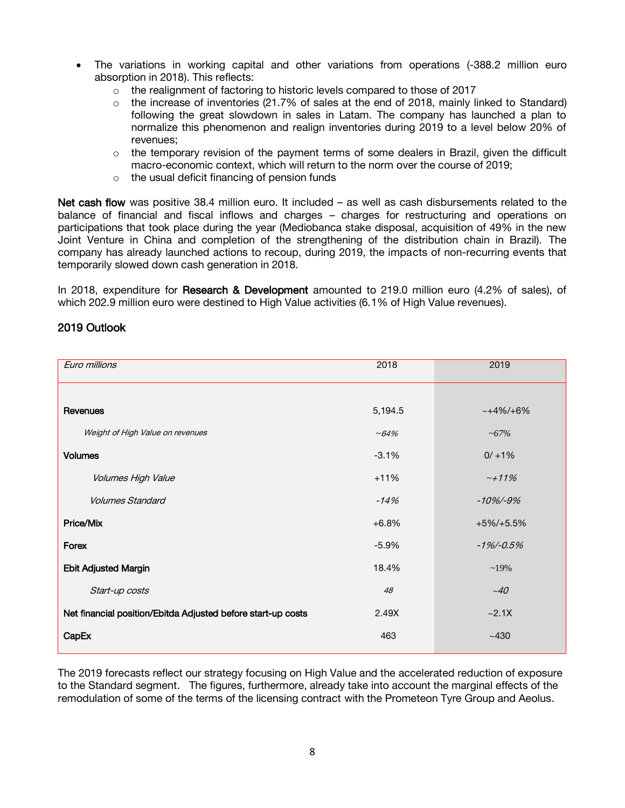- The variations in working capital and other variations from operations (-388.2 million euro absorption in 2018). This reflects:
	- o the realignment of factoring to historic levels compared to those of 2017
	- $\circ$  the increase of inventories (21.7% of sales at the end of 2018, mainly linked to Standard) following the great slowdown in sales in Latam. The company has launched a plan to normalize this phenomenon and realign inventories during 2019 to a level below 20% of revenues;
	- $\circ$  the temporary revision of the payment terms of some dealers in Brazil, given the difficult macro-economic context, which will return to the norm over the course of 2019;
	- o the usual deficit financing of pension funds

Net cash flow was positive 38.4 million euro. It included – as well as cash disbursements related to the balance of financial and fiscal inflows and charges – charges for restructuring and operations on participations that took place during the year (Mediobanca stake disposal, acquisition of 49% in the new Joint Venture in China and completion of the strengthening of the distribution chain in Brazil). The company has already launched actions to recoup, during 2019, the impacts of non-recurring events that temporarily slowed down cash generation in 2018.

In 2018, expenditure for Research & Development amounted to 219.0 million euro (4.2% of sales), of which 202.9 million euro were destined to High Value activities (6.1% of High Value revenues).

## 2019 Outlook

| Euro millions                                                | 2018     | 2019          |
|--------------------------------------------------------------|----------|---------------|
|                                                              |          |               |
| Revenues                                                     | 5,194.5  | $~14\%/+6\%$  |
| Weight of High Value on revenues                             | $~104\%$ | ~100          |
| <b>Volumes</b>                                               | $-3.1%$  | $0/ + 1%$     |
| Volumes High Value                                           | $+11%$   | $~11\%$       |
| <b>Volumes Standard</b>                                      | $-14%$   | $-10\% - 9\%$ |
| Price/Mix                                                    | $+6.8%$  | $+5\%/+5.5\%$ |
| Forex                                                        | $-5.9%$  | $-1\%$ /-0.5% |
| <b>Ebit Adjusted Margin</b>                                  | 18.4%    | $~19\%$       |
| Start-up costs                                               | 48       | ~10           |
| Net financial position/Ebitda Adjusted before start-up costs | 2.49X    | ~2.1X         |
| CapEx                                                        | 463      | ~1430         |

The 2019 forecasts reflect our strategy focusing on High Value and the accelerated reduction of exposure to the Standard segment. The figures, furthermore, already take into account the marginal effects of the remodulation of some of the terms of the licensing contract with the Prometeon Tyre Group and Aeolus.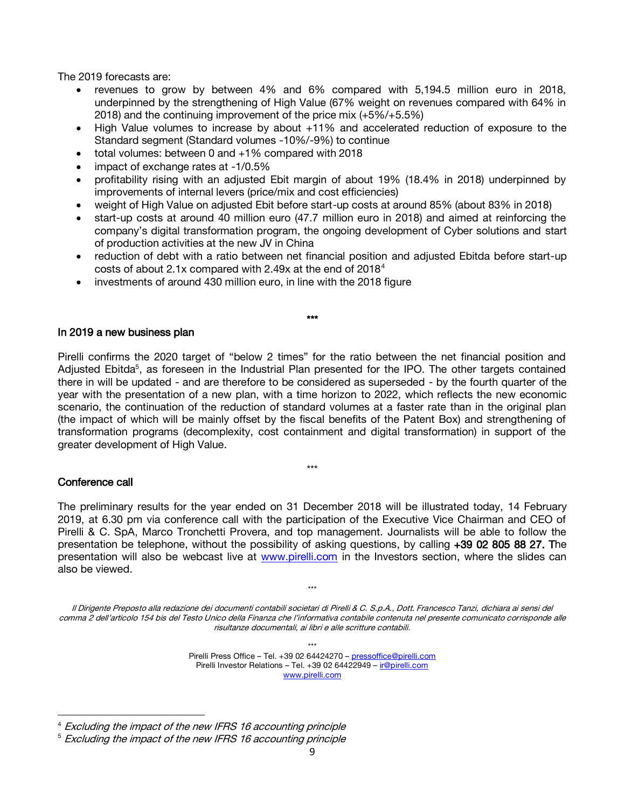The 2019 forecasts are:

- revenues to grow by between 4% and 6% compared with 5,194.5 million euro in 2018, underpinned by the strengthening of High Value (67% weight on revenues compared with 64% in 2018) and the continuing improvement of the price mix (+5%/+5.5%)
- High Value volumes to increase by about +11% and accelerated reduction of exposure to the Standard segment (Standard volumes -10%/-9%) to continue
- total volumes: between 0 and +1% compared with 2018
- impact of exchange rates at -1/0.5%
- profitability rising with an adjusted Ebit margin of about 19% (18.4% in 2018) underpinned by improvements of internal levers (price/mix and cost efficiencies)
- weight of High Value on adjusted Ebit before start-up costs at around 85% (about 83% in 2018)
- start-up costs at around 40 million euro (47.7 million euro in 2018) and aimed at reinforcing the company's digital transformation program, the ongoing development of Cyber solutions and start of production activities at the new JV in China
- reduction of debt with a ratio between net financial position and adjusted Ebitda before start-up costs of about 2.1x compared with 2.49x at the end of  $2018<sup>4</sup>$
- investments of around 430 million euro, in line with the 2018 figure

#### In 2019 a new business plan

Pirelli confirms the 2020 target of "below 2 times" for the ratio between the net financial position and Adjusted Ebitda<sup>5</sup>, as foreseen in the Industrial Plan presented for the IPO. The other targets contained there in will be updated - and are therefore to be considered as superseded - by the fourth quarter of the year with the presentation of a new plan, with a time horizon to 2022, which reflects the new economic scenario, the continuation of the reduction of standard volumes at a faster rate than in the original plan (the impact of which will be mainly offset by the fiscal benefits of the Patent Box) and strengthening of transformation programs (decomplexity, cost containment and digital transformation) in support of the greater development of High Value.

\*\*\*

#### \*\*\*

### Conference call

 $\overline{a}$ 

The preliminary results for the year ended on 31 December 2018 will be illustrated today, 14 February 2019, at 6.30 pm via conference call with the participation of the Executive Vice Chairman and CEO of Pirelli & C. SpA, Marco Tronchetti Provera, and top management. Journalists will be able to follow the presentation be telephone, without the possibility of asking questions, by calling +39 02 805 88 27. The presentation will also be webcast live at [www.pirelli.com](http://www.pirelli.com/) in the Investors section, where the slides can also be viewed.

Il Dirigente Preposto alla redazione dei documenti contabili societari di Pirelli & C. S.p.A., Dott. Francesco Tanzi, dichiara ai sensi del comma 2 dell'articolo 154 bis del Testo Unico della Finanza che l'informativa contabile contenuta nel presente comunicato corrisponde alle risultanze documentali, ai libri e alle scritture contabili.

\*\*\*

Pirelli Press Office - Tel. +39 02 64424270 - [pressoffice@pirelli.com](mailto:pressoffice@pirelli.com) Pirelli Investor Relations – Tel. +39 02 64422949 – [ir@pirelli.com](mailto:ir@pirelli.com) [www.pirelli.com](http://www.pirelli.com/)

<sup>4</sup> Excluding the impact of the new IFRS 16 accounting principle

<sup>\*\*\*</sup>

<sup>&</sup>lt;sup>5</sup> Excluding the impact of the new IFRS 16 accounting principle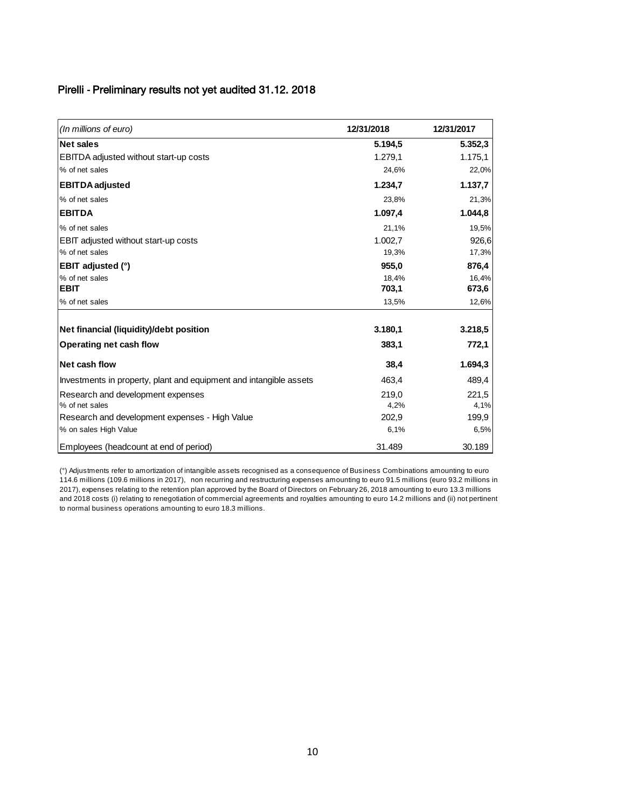### Pirelli **-** Preliminary results not yet audited 31.12. 2018

| (In millions of euro)                                              | 12/31/2018 | 12/31/2017 |
|--------------------------------------------------------------------|------------|------------|
| <b>Net sales</b>                                                   | 5.194.5    | 5.352,3    |
| <b>EBITDA</b> adjusted without start-up costs                      | 1.279,1    | 1.175,1    |
| % of net sales                                                     | 24,6%      | 22,0%      |
| <b>EBITDA</b> adjusted                                             | 1.234,7    | 1.137,7    |
| % of net sales                                                     | 23,8%      | 21,3%      |
| <b>EBITDA</b>                                                      | 1.097,4    | 1.044,8    |
| % of net sales                                                     | 21,1%      | 19,5%      |
| <b>EBIT adjusted without start-up costs</b>                        | 1.002,7    | 926,6      |
| % of net sales                                                     | 19,3%      | 17,3%      |
| <b>EBIT adjusted (°)</b>                                           | 955,0      | 876,4      |
| % of net sales                                                     | 18.4%      | 16,4%      |
| <b>EBIT</b>                                                        | 703,1      | 673,6      |
| % of net sales                                                     | 13,5%      | 12,6%      |
| Net financial (liquidity)/debt position                            | 3.180,1    | 3.218,5    |
| <b>Operating net cash flow</b>                                     | 383,1      | 772,1      |
| <b>Net cash flow</b>                                               | 38,4       | 1.694,3    |
| Investments in property, plant and equipment and intangible assets | 463,4      | 489,4      |
| Research and development expenses                                  | 219,0      | 221,5      |
| % of net sales                                                     | 4,2%       | 4,1%       |
| Research and development expenses - High Value                     | 202,9      | 199,9      |
| % on sales High Value                                              | 6,1%       | 6,5%       |
| Employees (headcount at end of period)                             | 31.489     | 30.189     |

(°) Adjustments refer to amortization of intangible assets recognised as a consequence of Business Combinations amounting to euro 114.6 millions (109.6 millions in 2017), non recurring and restructuring expenses amounting to euro 91.5 millions (euro 93.2 millions in 2017), expenses relating to the retention plan approved by the Board of Directors on February 26, 2018 amounting to euro 13.3 millions and 2018 costs (i) relating to renegotiation of commercial agreements and royalties amounting to euro 14.2 millions and (ii) not pertinent to normal business operations amounting to euro 18.3 millions.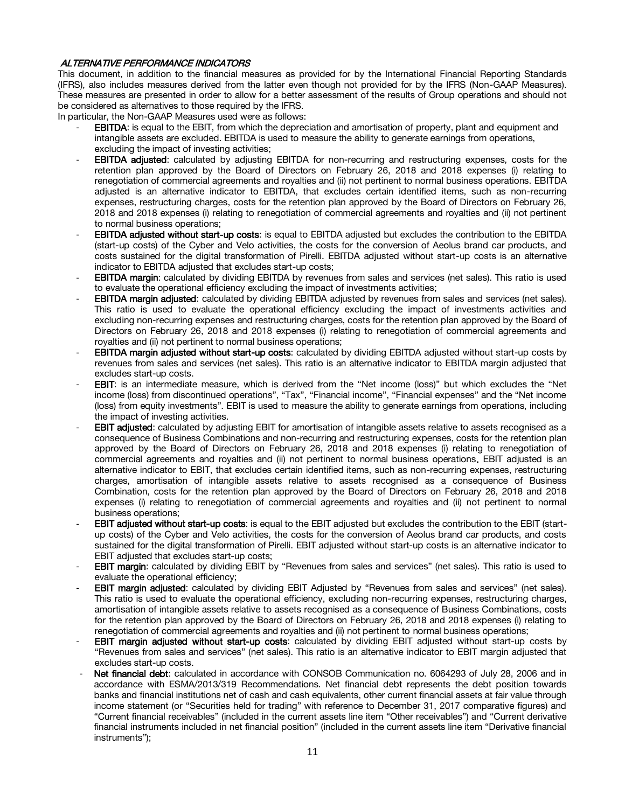#### ALTERNATIVE PERFORMANCE INDICATORS

This document, in addition to the financial measures as provided for by the International Financial Reporting Standards (IFRS), also includes measures derived from the latter even though not provided for by the IFRS (Non-GAAP Measures). These measures are presented in order to allow for a better assessment of the results of Group operations and should not be considered as alternatives to those required by the IFRS.

In particular, the Non-GAAP Measures used were as follows:

- **EBITDA:** is equal to the EBIT, from which the depreciation and amortisation of property, plant and equipment and intangible assets are excluded. EBITDA is used to measure the ability to generate earnings from operations, excluding the impact of investing activities;
- **EBITDA adjusted:** calculated by adjusting EBITDA for non-recurring and restructuring expenses, costs for the retention plan approved by the Board of Directors on February 26, 2018 and 2018 expenses (i) relating to renegotiation of commercial agreements and royalties and (ii) not pertinent to normal business operations. EBITDA adjusted is an alternative indicator to EBITDA, that excludes certain identified items, such as non-recurring expenses, restructuring charges, costs for the retention plan approved by the Board of Directors on February 26, 2018 and 2018 expenses (i) relating to renegotiation of commercial agreements and royalties and (ii) not pertinent to normal business operations;
- EBITDA adjusted without start-up costs: is equal to EBITDA adjusted but excludes the contribution to the EBITDA (start-up costs) of the Cyber and Velo activities, the costs for the conversion of Aeolus brand car products, and costs sustained for the digital transformation of Pirelli. EBITDA adjusted without start-up costs is an alternative indicator to EBITDA adjusted that excludes start-up costs;
- **EBITDA margin:** calculated by dividing EBITDA by revenues from sales and services (net sales). This ratio is used to evaluate the operational efficiency excluding the impact of investments activities;
- EBITDA margin adjusted: calculated by dividing EBITDA adjusted by revenues from sales and services (net sales). This ratio is used to evaluate the operational efficiency excluding the impact of investments activities and excluding non-recurring expenses and restructuring charges, costs for the retention plan approved by the Board of Directors on February 26, 2018 and 2018 expenses (i) relating to renegotiation of commercial agreements and royalties and (ii) not pertinent to normal business operations;
- EBITDA margin adjusted without start-up costs: calculated by dividing EBITDA adjusted without start-up costs by revenues from sales and services (net sales). This ratio is an alternative indicator to EBITDA margin adjusted that excludes start-up costs.
- EBIT: is an intermediate measure, which is derived from the "Net income (loss)" but which excludes the "Net income (loss) from discontinued operations", "Tax", "Financial income", "Financial expenses" and the "Net income (loss) from equity investments". EBIT is used to measure the ability to generate earnings from operations, including the impact of investing activities.
- EBIT adjusted: calculated by adjusting EBIT for amortisation of intangible assets relative to assets recognised as a consequence of Business Combinations and non-recurring and restructuring expenses, costs for the retention plan approved by the Board of Directors on February 26, 2018 and 2018 expenses (i) relating to renegotiation of commercial agreements and royalties and (ii) not pertinent to normal business operations. EBIT adjusted is an alternative indicator to EBIT, that excludes certain identified items, such as non-recurring expenses, restructuring charges, amortisation of intangible assets relative to assets recognised as a consequence of Business Combination, costs for the retention plan approved by the Board of Directors on February 26, 2018 and 2018 expenses (i) relating to renegotiation of commercial agreements and royalties and (ii) not pertinent to normal business operations;
- EBIT adjusted without start-up costs: is equal to the EBIT adjusted but excludes the contribution to the EBIT (startup costs) of the Cyber and Velo activities, the costs for the conversion of Aeolus brand car products, and costs sustained for the digital transformation of Pirelli. EBIT adjusted without start-up costs is an alternative indicator to EBIT adjusted that excludes start-up costs;
- EBIT margin: calculated by dividing EBIT by "Revenues from sales and services" (net sales). This ratio is used to evaluate the operational efficiency;
- EBIT margin adjusted: calculated by dividing EBIT Adjusted by "Revenues from sales and services" (net sales). This ratio is used to evaluate the operational efficiency, excluding non-recurring expenses, restructuring charges, amortisation of intangible assets relative to assets recognised as a consequence of Business Combinations, costs for the retention plan approved by the Board of Directors on February 26, 2018 and 2018 expenses (i) relating to renegotiation of commercial agreements and royalties and (ii) not pertinent to normal business operations;
- EBIT margin adjusted without start-up costs: calculated by dividing EBIT adjusted without start-up costs by "Revenues from sales and services" (net sales). This ratio is an alternative indicator to EBIT margin adjusted that excludes start-up costs.
- Net financial debt: calculated in accordance with CONSOB Communication no. 6064293 of July 28, 2006 and in accordance with ESMA/2013/319 Recommendations. Net financial debt represents the debt position towards banks and financial institutions net of cash and cash equivalents, other current financial assets at fair value through income statement (or "Securities held for trading" with reference to December 31, 2017 comparative figures) and "Current financial receivables" (included in the current assets line item "Other receivables") and "Current derivative financial instruments included in net financial position" (included in the current assets line item "Derivative financial instruments");